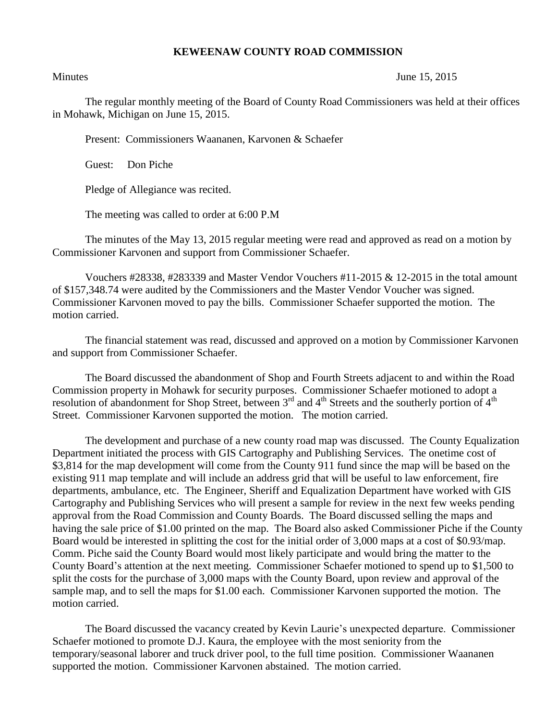## **KEWEENAW COUNTY ROAD COMMISSION**

Minutes June 15, 2015

The regular monthly meeting of the Board of County Road Commissioners was held at their offices in Mohawk, Michigan on June 15, 2015.

Present: Commissioners Waananen, Karvonen & Schaefer

Guest: Don Piche

Pledge of Allegiance was recited.

The meeting was called to order at 6:00 P.M

The minutes of the May 13, 2015 regular meeting were read and approved as read on a motion by Commissioner Karvonen and support from Commissioner Schaefer.

Vouchers #28338, #283339 and Master Vendor Vouchers #11-2015 & 12-2015 in the total amount of \$157,348.74 were audited by the Commissioners and the Master Vendor Voucher was signed. Commissioner Karvonen moved to pay the bills. Commissioner Schaefer supported the motion. The motion carried.

The financial statement was read, discussed and approved on a motion by Commissioner Karvonen and support from Commissioner Schaefer.

The Board discussed the abandonment of Shop and Fourth Streets adjacent to and within the Road Commission property in Mohawk for security purposes. Commissioner Schaefer motioned to adopt a resolution of abandonment for Shop Street, between 3<sup>rd</sup> and 4<sup>th</sup> Streets and the southerly portion of 4<sup>th</sup> Street. Commissioner Karvonen supported the motion. The motion carried.

The development and purchase of a new county road map was discussed. The County Equalization Department initiated the process with GIS Cartography and Publishing Services. The onetime cost of \$3,814 for the map development will come from the County 911 fund since the map will be based on the existing 911 map template and will include an address grid that will be useful to law enforcement, fire departments, ambulance, etc. The Engineer, Sheriff and Equalization Department have worked with GIS Cartography and Publishing Services who will present a sample for review in the next few weeks pending approval from the Road Commission and County Boards. The Board discussed selling the maps and having the sale price of \$1.00 printed on the map. The Board also asked Commissioner Piche if the County Board would be interested in splitting the cost for the initial order of 3,000 maps at a cost of \$0.93/map. Comm. Piche said the County Board would most likely participate and would bring the matter to the County Board's attention at the next meeting. Commissioner Schaefer motioned to spend up to \$1,500 to split the costs for the purchase of 3,000 maps with the County Board, upon review and approval of the sample map, and to sell the maps for \$1.00 each. Commissioner Karvonen supported the motion. The motion carried.

The Board discussed the vacancy created by Kevin Laurie's unexpected departure. Commissioner Schaefer motioned to promote D.J. Kaura, the employee with the most seniority from the temporary/seasonal laborer and truck driver pool, to the full time position. Commissioner Waananen supported the motion. Commissioner Karvonen abstained. The motion carried.